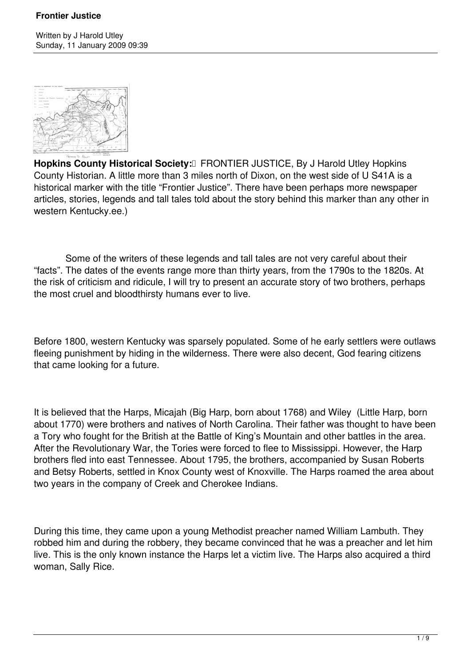

Hopkins County Historical Society:<sup>[]</sup> FRONTIER JUSTICE, By J Harold Utley Hopkins County Historian. A little more than 3 miles north of Dixon, on the west side of U S41A is a historical marker with the title "Frontier Justice". There have been perhaps more newspaper articles, stories, legends and tall tales told about the story behind this marker than any other in western Kentucky.ee.)

 Some of the writers of these legends and tall tales are not very careful about their "facts". The dates of the events range more than thirty years, from the 1790s to the 1820s. At the risk of criticism and ridicule, I will try to present an accurate story of two brothers, perhaps the most cruel and bloodthirsty humans ever to live.

Before 1800, western Kentucky was sparsely populated. Some of he early settlers were outlaws fleeing punishment by hiding in the wilderness. There were also decent, God fearing citizens that came looking for a future.

It is believed that the Harps, Micajah (Big Harp, born about 1768) and Wiley (Little Harp, born about 1770) were brothers and natives of North Carolina. Their father was thought to have been a Tory who fought for the British at the Battle of King's Mountain and other battles in the area. After the Revolutionary War, the Tories were forced to flee to Mississippi. However, the Harp brothers fled into east Tennessee. About 1795, the brothers, accompanied by Susan Roberts and Betsy Roberts, settled in Knox County west of Knoxville. The Harps roamed the area about two years in the company of Creek and Cherokee Indians.

During this time, they came upon a young Methodist preacher named William Lambuth. They robbed him and during the robbery, they became convinced that he was a preacher and let him live. This is the only known instance the Harps let a victim live. The Harps also acquired a third woman, Sally Rice.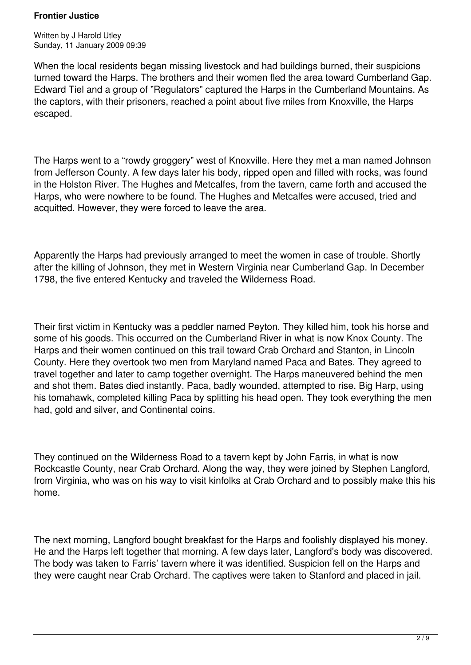Written by J Harold Utley Sunday, 11 January 2009 09:39

When the local residents began missing livestock and had buildings burned, their suspicions turned toward the Harps. The brothers and their women fled the area toward Cumberland Gap. Edward Tiel and a group of "Regulators" captured the Harps in the Cumberland Mountains. As the captors, with their prisoners, reached a point about five miles from Knoxville, the Harps escaped.

The Harps went to a "rowdy groggery" west of Knoxville. Here they met a man named Johnson from Jefferson County. A few days later his body, ripped open and filled with rocks, was found in the Holston River. The Hughes and Metcalfes, from the tavern, came forth and accused the Harps, who were nowhere to be found. The Hughes and Metcalfes were accused, tried and acquitted. However, they were forced to leave the area.

Apparently the Harps had previously arranged to meet the women in case of trouble. Shortly after the killing of Johnson, they met in Western Virginia near Cumberland Gap. In December 1798, the five entered Kentucky and traveled the Wilderness Road.

Their first victim in Kentucky was a peddler named Peyton. They killed him, took his horse and some of his goods. This occurred on the Cumberland River in what is now Knox County. The Harps and their women continued on this trail toward Crab Orchard and Stanton, in Lincoln County. Here they overtook two men from Maryland named Paca and Bates. They agreed to travel together and later to camp together overnight. The Harps maneuvered behind the men and shot them. Bates died instantly. Paca, badly wounded, attempted to rise. Big Harp, using his tomahawk, completed killing Paca by splitting his head open. They took everything the men had, gold and silver, and Continental coins.

They continued on the Wilderness Road to a tavern kept by John Farris, in what is now Rockcastle County, near Crab Orchard. Along the way, they were joined by Stephen Langford, from Virginia, who was on his way to visit kinfolks at Crab Orchard and to possibly make this his home.

The next morning, Langford bought breakfast for the Harps and foolishly displayed his money. He and the Harps left together that morning. A few days later, Langford's body was discovered. The body was taken to Farris' tavern where it was identified. Suspicion fell on the Harps and they were caught near Crab Orchard. The captives were taken to Stanford and placed in jail.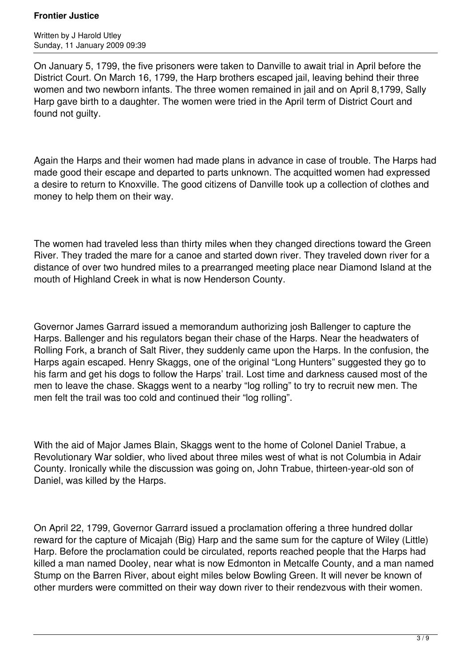Written by J Harold Utley Sunday, 11 January 2009 09:39

On January 5, 1799, the five prisoners were taken to Danville to await trial in April before the District Court. On March 16, 1799, the Harp brothers escaped jail, leaving behind their three women and two newborn infants. The three women remained in jail and on April 8,1799, Sally Harp gave birth to a daughter. The women were tried in the April term of District Court and found not guilty.

Again the Harps and their women had made plans in advance in case of trouble. The Harps had made good their escape and departed to parts unknown. The acquitted women had expressed a desire to return to Knoxville. The good citizens of Danville took up a collection of clothes and money to help them on their way.

The women had traveled less than thirty miles when they changed directions toward the Green River. They traded the mare for a canoe and started down river. They traveled down river for a distance of over two hundred miles to a prearranged meeting place near Diamond Island at the mouth of Highland Creek in what is now Henderson County.

Governor James Garrard issued a memorandum authorizing josh Ballenger to capture the Harps. Ballenger and his regulators began their chase of the Harps. Near the headwaters of Rolling Fork, a branch of Salt River, they suddenly came upon the Harps. In the confusion, the Harps again escaped. Henry Skaggs, one of the original "Long Hunters" suggested they go to his farm and get his dogs to follow the Harps' trail. Lost time and darkness caused most of the men to leave the chase. Skaggs went to a nearby "log rolling" to try to recruit new men. The men felt the trail was too cold and continued their "log rolling".

With the aid of Major James Blain, Skaggs went to the home of Colonel Daniel Trabue, a Revolutionary War soldier, who lived about three miles west of what is not Columbia in Adair County. Ironically while the discussion was going on, John Trabue, thirteen-year-old son of Daniel, was killed by the Harps.

On April 22, 1799, Governor Garrard issued a proclamation offering a three hundred dollar reward for the capture of Micajah (Big) Harp and the same sum for the capture of Wiley (Little) Harp. Before the proclamation could be circulated, reports reached people that the Harps had killed a man named Dooley, near what is now Edmonton in Metcalfe County, and a man named Stump on the Barren River, about eight miles below Bowling Green. It will never be known of other murders were committed on their way down river to their rendezvous with their women.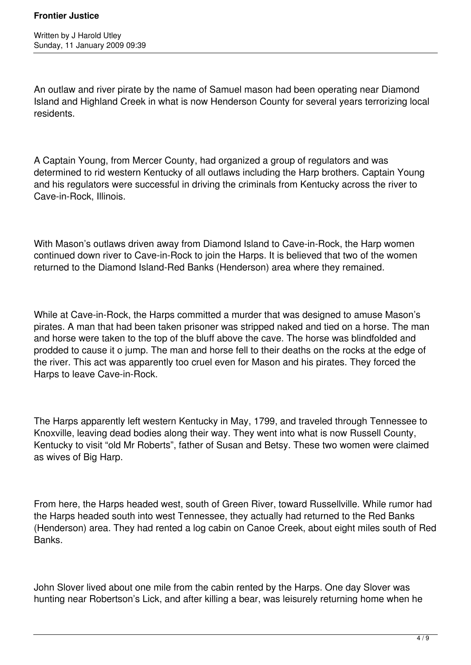An outlaw and river pirate by the name of Samuel mason had been operating near Diamond Island and Highland Creek in what is now Henderson County for several years terrorizing local residents.

A Captain Young, from Mercer County, had organized a group of regulators and was determined to rid western Kentucky of all outlaws including the Harp brothers. Captain Young and his regulators were successful in driving the criminals from Kentucky across the river to Cave-in-Rock, Illinois.

With Mason's outlaws driven away from Diamond Island to Cave-in-Rock, the Harp women continued down river to Cave-in-Rock to join the Harps. It is believed that two of the women returned to the Diamond Island-Red Banks (Henderson) area where they remained.

While at Cave-in-Rock, the Harps committed a murder that was designed to amuse Mason's pirates. A man that had been taken prisoner was stripped naked and tied on a horse. The man and horse were taken to the top of the bluff above the cave. The horse was blindfolded and prodded to cause it o jump. The man and horse fell to their deaths on the rocks at the edge of the river. This act was apparently too cruel even for Mason and his pirates. They forced the Harps to leave Cave-in-Rock.

The Harps apparently left western Kentucky in May, 1799, and traveled through Tennessee to Knoxville, leaving dead bodies along their way. They went into what is now Russell County, Kentucky to visit "old Mr Roberts", father of Susan and Betsy. These two women were claimed as wives of Big Harp.

From here, the Harps headed west, south of Green River, toward Russellville. While rumor had the Harps headed south into west Tennessee, they actually had returned to the Red Banks (Henderson) area. They had rented a log cabin on Canoe Creek, about eight miles south of Red Banks.

John Slover lived about one mile from the cabin rented by the Harps. One day Slover was hunting near Robertson's Lick, and after killing a bear, was leisurely returning home when he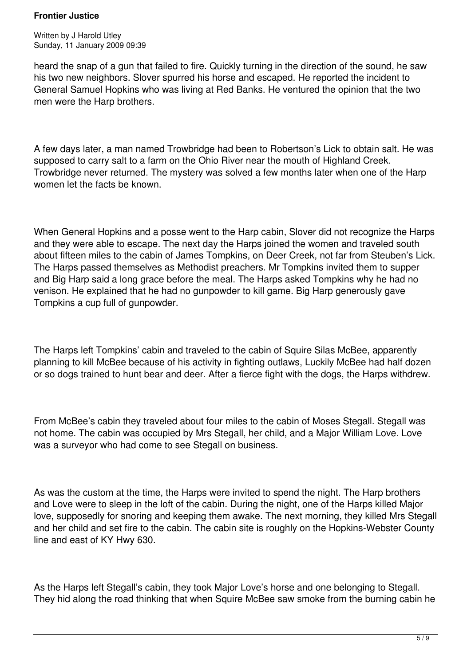Written by J Harold Utley Sunday, 11 January 2009 09:39

heard the snap of a gun that failed to fire. Quickly turning in the direction of the sound, he saw his two new neighbors. Slover spurred his horse and escaped. He reported the incident to General Samuel Hopkins who was living at Red Banks. He ventured the opinion that the two men were the Harp brothers.

A few days later, a man named Trowbridge had been to Robertson's Lick to obtain salt. He was supposed to carry salt to a farm on the Ohio River near the mouth of Highland Creek. Trowbridge never returned. The mystery was solved a few months later when one of the Harp women let the facts be known.

When General Hopkins and a posse went to the Harp cabin, Slover did not recognize the Harps and they were able to escape. The next day the Harps joined the women and traveled south about fifteen miles to the cabin of James Tompkins, on Deer Creek, not far from Steuben's Lick. The Harps passed themselves as Methodist preachers. Mr Tompkins invited them to supper and Big Harp said a long grace before the meal. The Harps asked Tompkins why he had no venison. He explained that he had no gunpowder to kill game. Big Harp generously gave Tompkins a cup full of gunpowder.

The Harps left Tompkins' cabin and traveled to the cabin of Squire Silas McBee, apparently planning to kill McBee because of his activity in fighting outlaws, Luckily McBee had half dozen or so dogs trained to hunt bear and deer. After a fierce fight with the dogs, the Harps withdrew.

From McBee's cabin they traveled about four miles to the cabin of Moses Stegall. Stegall was not home. The cabin was occupied by Mrs Stegall, her child, and a Major William Love. Love was a surveyor who had come to see Stegall on business.

As was the custom at the time, the Harps were invited to spend the night. The Harp brothers and Love were to sleep in the loft of the cabin. During the night, one of the Harps killed Major love, supposedly for snoring and keeping them awake. The next morning, they killed Mrs Stegall and her child and set fire to the cabin. The cabin site is roughly on the Hopkins-Webster County line and east of KY Hwy 630.

As the Harps left Stegall's cabin, they took Major Love's horse and one belonging to Stegall. They hid along the road thinking that when Squire McBee saw smoke from the burning cabin he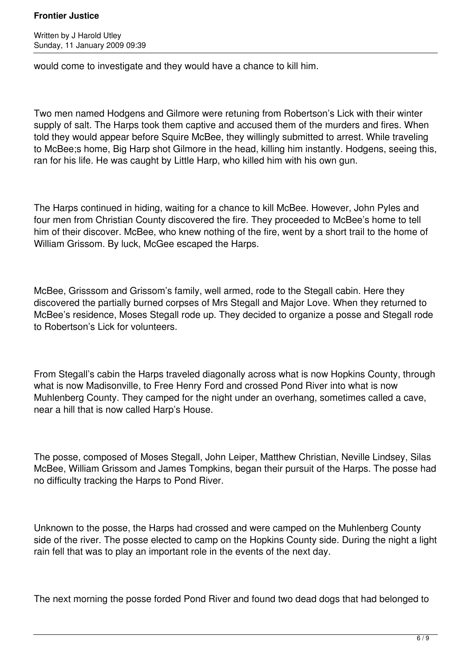would come to investigate and they would have a chance to kill him.

Two men named Hodgens and Gilmore were retuning from Robertson's Lick with their winter supply of salt. The Harps took them captive and accused them of the murders and fires. When told they would appear before Squire McBee, they willingly submitted to arrest. While traveling to McBee;s home, Big Harp shot Gilmore in the head, killing him instantly. Hodgens, seeing this, ran for his life. He was caught by Little Harp, who killed him with his own gun.

The Harps continued in hiding, waiting for a chance to kill McBee. However, John Pyles and four men from Christian County discovered the fire. They proceeded to McBee's home to tell him of their discover. McBee, who knew nothing of the fire, went by a short trail to the home of William Grissom. By luck, McGee escaped the Harps.

McBee, Grisssom and Grissom's family, well armed, rode to the Stegall cabin. Here they discovered the partially burned corpses of Mrs Stegall and Major Love. When they returned to McBee's residence, Moses Stegall rode up. They decided to organize a posse and Stegall rode to Robertson's Lick for volunteers.

From Stegall's cabin the Harps traveled diagonally across what is now Hopkins County, through what is now Madisonville, to Free Henry Ford and crossed Pond River into what is now Muhlenberg County. They camped for the night under an overhang, sometimes called a cave, near a hill that is now called Harp's House.

The posse, composed of Moses Stegall, John Leiper, Matthew Christian, Neville Lindsey, Silas McBee, William Grissom and James Tompkins, began their pursuit of the Harps. The posse had no difficulty tracking the Harps to Pond River.

Unknown to the posse, the Harps had crossed and were camped on the Muhlenberg County side of the river. The posse elected to camp on the Hopkins County side. During the night a light rain fell that was to play an important role in the events of the next day.

The next morning the posse forded Pond River and found two dead dogs that had belonged to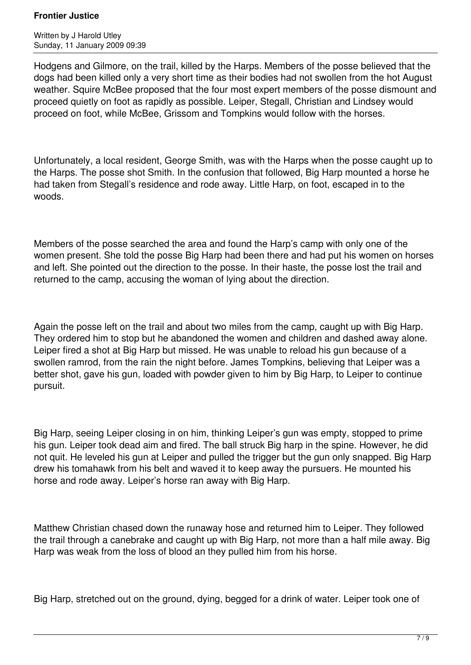Written by J Harold Utley Sunday, 11 January 2009 09:39

Hodgens and Gilmore, on the trail, killed by the Harps. Members of the posse believed that the dogs had been killed only a very short time as their bodies had not swollen from the hot August weather. Squire McBee proposed that the four most expert members of the posse dismount and proceed quietly on foot as rapidly as possible. Leiper, Stegall, Christian and Lindsey would proceed on foot, while McBee, Grissom and Tompkins would follow with the horses.

Unfortunately, a local resident, George Smith, was with the Harps when the posse caught up to the Harps. The posse shot Smith. In the confusion that followed, Big Harp mounted a horse he had taken from Stegall's residence and rode away. Little Harp, on foot, escaped in to the woods.

Members of the posse searched the area and found the Harp's camp with only one of the women present. She told the posse Big Harp had been there and had put his women on horses and left. She pointed out the direction to the posse. In their haste, the posse lost the trail and returned to the camp, accusing the woman of lying about the direction.

Again the posse left on the trail and about two miles from the camp, caught up with Big Harp. They ordered him to stop but he abandoned the women and children and dashed away alone. Leiper fired a shot at Big Harp but missed. He was unable to reload his gun because of a swollen ramrod, from the rain the night before. James Tompkins, believing that Leiper was a better shot, gave his gun, loaded with powder given to him by Big Harp, to Leiper to continue pursuit.

Big Harp, seeing Leiper closing in on him, thinking Leiper's gun was empty, stopped to prime his gun. Leiper took dead aim and fired. The ball struck Big harp in the spine. However, he did not quit. He leveled his gun at Leiper and pulled the trigger but the gun only snapped. Big Harp drew his tomahawk from his belt and waved it to keep away the pursuers. He mounted his horse and rode away. Leiper's horse ran away with Big Harp.

Matthew Christian chased down the runaway hose and returned him to Leiper. They followed the trail through a canebrake and caught up with Big Harp, not more than a half mile away. Big Harp was weak from the loss of blood an they pulled him from his horse.

Big Harp, stretched out on the ground, dying, begged for a drink of water. Leiper took one of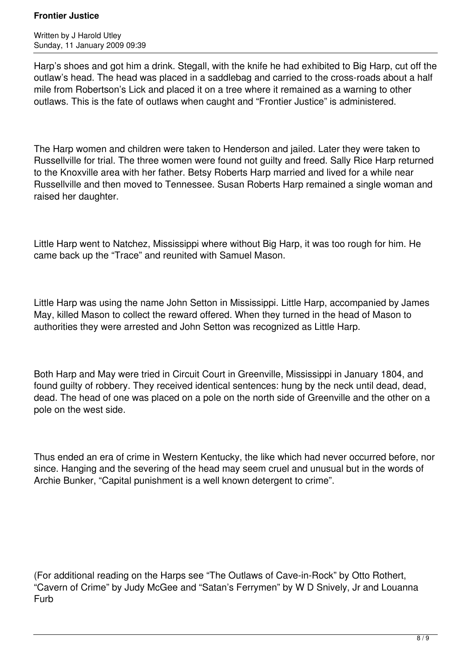Written by J Harold Utley Sunday, 11 January 2009 09:39

Harp's shoes and got him a drink. Stegall, with the knife he had exhibited to Big Harp, cut off the outlaw's head. The head was placed in a saddlebag and carried to the cross-roads about a half mile from Robertson's Lick and placed it on a tree where it remained as a warning to other outlaws. This is the fate of outlaws when caught and "Frontier Justice" is administered.

The Harp women and children were taken to Henderson and jailed. Later they were taken to Russellville for trial. The three women were found not guilty and freed. Sally Rice Harp returned to the Knoxville area with her father. Betsy Roberts Harp married and lived for a while near Russellville and then moved to Tennessee. Susan Roberts Harp remained a single woman and raised her daughter.

Little Harp went to Natchez, Mississippi where without Big Harp, it was too rough for him. He came back up the "Trace" and reunited with Samuel Mason.

Little Harp was using the name John Setton in Mississippi. Little Harp, accompanied by James May, killed Mason to collect the reward offered. When they turned in the head of Mason to authorities they were arrested and John Setton was recognized as Little Harp.

Both Harp and May were tried in Circuit Court in Greenville, Mississippi in January 1804, and found guilty of robbery. They received identical sentences: hung by the neck until dead, dead, dead. The head of one was placed on a pole on the north side of Greenville and the other on a pole on the west side.

Thus ended an era of crime in Western Kentucky, the like which had never occurred before, nor since. Hanging and the severing of the head may seem cruel and unusual but in the words of Archie Bunker, "Capital punishment is a well known detergent to crime".

(For additional reading on the Harps see "The Outlaws of Cave-in-Rock" by Otto Rothert, "Cavern of Crime" by Judy McGee and "Satan's Ferrymen" by W D Snively, Jr and Louanna Furb